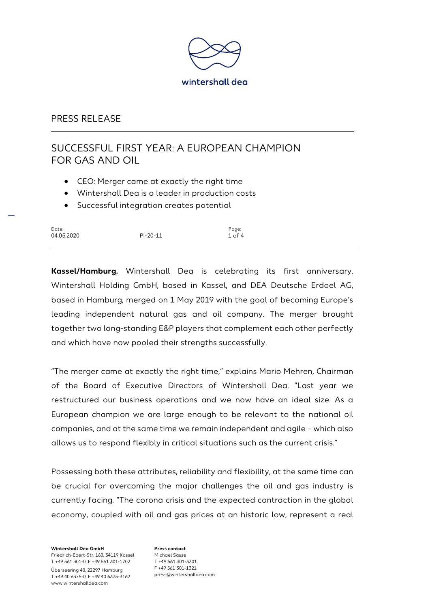

# SUCCESSFUL FIRST YEAR: A EUROPEAN CHAMPION FOR GAS AND OIL

- CEO: Merger came at exactly the right time
- Wintershall Dea is a leader in production costs
- Successful integration creates potential

| Date:      |            | Page:      |
|------------|------------|------------|
| 04.05.2020 | $PI-20-11$ | $1$ of $4$ |

**Kassel/Hamburg.** Wintershall Dea is celebrating its first anniversary. Wintershall Holding GmbH, based in Kassel, and DEA Deutsche Erdoel AG, based in Hamburg, merged on 1 May 2019 with the goal of becoming Europe's leading independent natural gas and oil company. The merger brought together two long-standing E&P players that complement each other perfectly and which have now pooled their strengths successfully.

"The merger came at exactly the right time," explains Mario Mehren, Chairman of the Board of Executive Directors of Wintershall Dea. "Last year we restructured our business operations and we now have an ideal size. As a European champion we are large enough to be relevant to the national oil companies, and at the same time we remain independent and agile – which also allows us to respond flexibly in critical situations such as the current crisis."

Possessing both these attributes, reliability and flexibility, at the same time can be crucial for overcoming the major challenges the oil and gas industry is currently facing. "The corona crisis and the expected contraction in the global economy, coupled with oil and gas prices at an historic low, represent a real

**Wintershall Dea GmbH** Friedrich-Ebert-Str. 160, 34119 Kassel T +49 561 301-0, F +49 561 301-1702 Überseering 40, 22297 Hamburg T +49 40 6375-0, F +49 40 6375-3162 www.wintershalldea.com

**Press contact** Michael Sasse T +49 561 301-3301 F +49 561 301-1321 press@wintershalldea.com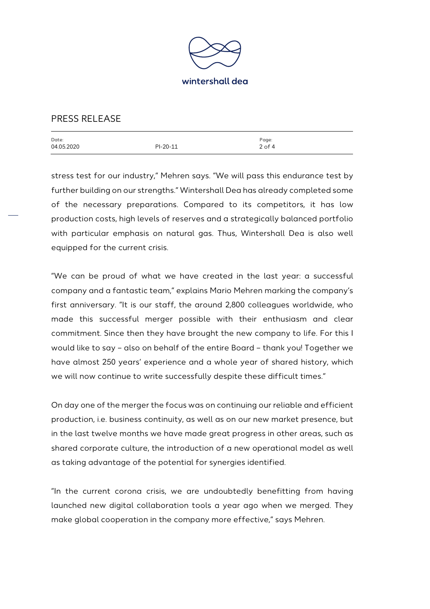

| Date:      |          | Page:      |
|------------|----------|------------|
| 04.05.2020 | PI-20-11 | $2$ of $4$ |
|            |          |            |

stress test for our industry," Mehren says. "We will pass this endurance test by further building on our strengths." Wintershall Dea has already completed some of the necessary preparations. Compared to its competitors, it has low production costs, high levels of reserves and a strategically balanced portfolio with particular emphasis on natural gas. Thus, Wintershall Dea is also well equipped for the current crisis.

"We can be proud of what we have created in the last year: a successful company and a fantastic team," explains Mario Mehren marking the company's first anniversary. "It is our staff, the around 2,800 colleagues worldwide, who made this successful merger possible with their enthusiasm and clear commitment. Since then they have brought the new company to life. For this I would like to say – also on behalf of the entire Board – thank you! Together we have almost 250 years' experience and a whole year of shared history, which we will now continue to write successfully despite these difficult times."

On day one of the merger the focus was on continuing our reliable and efficient production, i.e. business continuity, as well as on our new market presence, but in the last twelve months we have made great progress in other areas, such as shared corporate culture, the introduction of a new operational model as well as taking advantage of the potential for synergies identified.

"In the current corona crisis, we are undoubtedly benefitting from having launched new digital collaboration tools a year ago when we merged. They make global cooperation in the company more effective," says Mehren.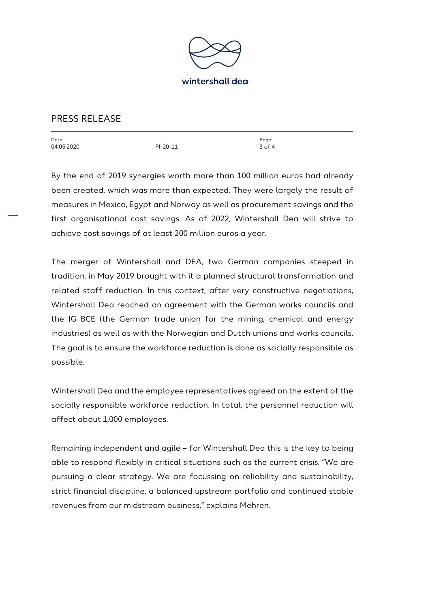

| Date:      |          | Page:      |
|------------|----------|------------|
| 04.05.2020 | PI-20-11 | $3$ of $4$ |
|            |          |            |

By the end of 2019 synergies worth more than 100 million euros had already been created, which was more than expected. They were largely the result of measures in Mexico, Egypt and Norway as well as procurement savings and the first organisational cost savings. As of 2022, Wintershall Dea will strive to achieve cost savings of at least 200 million euros a year.

The merger of Wintershall and DEA, two German companies steeped in tradition, in May 2019 brought with it a planned structural transformation and related staff reduction. In this context, after very constructive negotiations, Wintershall Dea reached an agreement with the German works councils and the IG BCE (the German trade union for the mining, chemical and energy industries) as well as with the Norwegian and Dutch unions and works councils. The goal is to ensure the workforce reduction is done as socially responsible as possible.

Wintershall Dea and the employee representatives agreed on the extent of the socially responsible workforce reduction. In total, the personnel reduction will affect about 1,000 employees.

Remaining independent and agile – for Wintershall Dea this is the key to being able to respond flexibly in critical situations such as the current crisis. "We are pursuing a clear strategy. We are focussing on reliability and sustainability, strict financial discipline, a balanced upstream portfolio and continued stable revenues from our midstream business," explains Mehren.